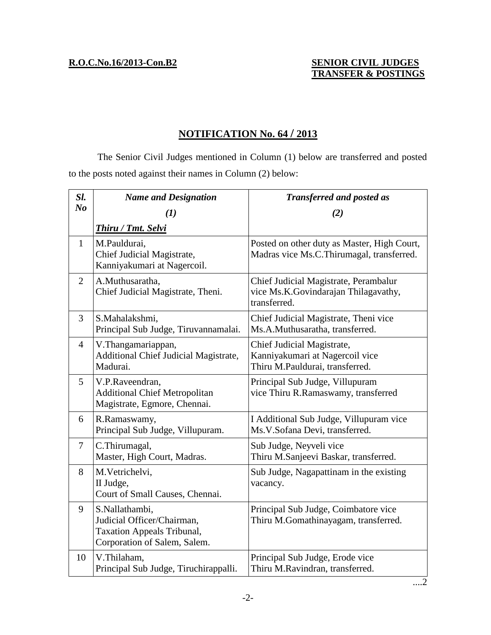## **R.O.C.No.16/2013-Con.B2 SENIOR CIVIL JUDGES TRANSFER & POSTINGS**

## **NOTIFICATION No. 64 / 2013**

The Senior Civil Judges mentioned in Column (1) below are transferred and posted to the posts noted against their names in Column (2) below:

| Sl.            | <b>Name and Designation</b>                                                                                       | <b>Transferred and posted as</b>                                                                 |
|----------------|-------------------------------------------------------------------------------------------------------------------|--------------------------------------------------------------------------------------------------|
| N <sub>o</sub> | (1)                                                                                                               | (2)                                                                                              |
|                | Thiru / Tmt. Selvi                                                                                                |                                                                                                  |
| $\mathbf{1}$   | M.Pauldurai,<br>Chief Judicial Magistrate,<br>Kanniyakumari at Nagercoil.                                         | Posted on other duty as Master, High Court,<br>Madras vice Ms.C.Thirumagal, transferred.         |
| 2              | A.Muthusaratha,<br>Chief Judicial Magistrate, Theni.                                                              | Chief Judicial Magistrate, Perambalur<br>vice Ms.K.Govindarajan Thilagavathy,<br>transferred.    |
| $\mathfrak{Z}$ | S.Mahalakshmi,<br>Principal Sub Judge, Tiruvannamalai.                                                            | Chief Judicial Magistrate, Theni vice<br>Ms.A.Muthusaratha, transferred.                         |
| 4              | V.Thangamariappan,<br>Additional Chief Judicial Magistrate,<br>Madurai.                                           | Chief Judicial Magistrate,<br>Kanniyakumari at Nagercoil vice<br>Thiru M.Pauldurai, transferred. |
| 5              | V.P.Raveendran,<br><b>Additional Chief Metropolitan</b><br>Magistrate, Egmore, Chennai.                           | Principal Sub Judge, Villupuram<br>vice Thiru R.Ramaswamy, transferred                           |
| 6              | R.Ramaswamy,<br>Principal Sub Judge, Villupuram.                                                                  | I Additional Sub Judge, Villupuram vice<br>Ms.V.Sofana Devi, transferred.                        |
| $\tau$         | C.Thirumagal,<br>Master, High Court, Madras.                                                                      | Sub Judge, Neyveli vice<br>Thiru M.Sanjeevi Baskar, transferred.                                 |
| 8              | M.Vetrichelvi,<br>II Judge,<br>Court of Small Causes, Chennai.                                                    | Sub Judge, Nagapattinam in the existing<br>vacancy.                                              |
| 9              | S.Nallathambi,<br>Judicial Officer/Chairman,<br><b>Taxation Appeals Tribunal,</b><br>Corporation of Salem, Salem. | Principal Sub Judge, Coimbatore vice<br>Thiru M.Gomathinayagam, transferred.                     |
| 10             | V.Thilaham,<br>Principal Sub Judge, Tiruchirappalli.                                                              | Principal Sub Judge, Erode vice<br>Thiru M.Ravindran, transferred.                               |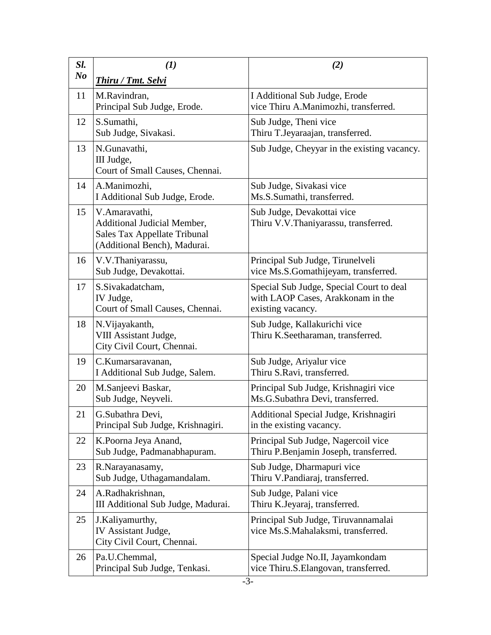| Sl.<br>N <sub>o</sub> | $\mathbf{U}$<br><b>Thiru / Tmt. Selvi</b>                                                                    | (2)                                                                                                |
|-----------------------|--------------------------------------------------------------------------------------------------------------|----------------------------------------------------------------------------------------------------|
| 11                    | M.Ravindran,<br>Principal Sub Judge, Erode.                                                                  | I Additional Sub Judge, Erode<br>vice Thiru A.Manimozhi, transferred.                              |
| 12                    | S.Sumathi,<br>Sub Judge, Sivakasi.                                                                           | Sub Judge, Theni vice<br>Thiru T.Jeyaraajan, transferred.                                          |
| 13                    | N.Gunavathi,<br>III Judge,<br>Court of Small Causes, Chennai.                                                | Sub Judge, Cheyyar in the existing vacancy.                                                        |
| 14                    | A.Manimozhi,<br>I Additional Sub Judge, Erode.                                                               | Sub Judge, Sivakasi vice<br>Ms.S.Sumathi, transferred.                                             |
| 15                    | V.Amaravathi,<br>Additional Judicial Member,<br>Sales Tax Appellate Tribunal<br>(Additional Bench), Madurai. | Sub Judge, Devakottai vice<br>Thiru V.V.Thaniyarassu, transferred.                                 |
| 16                    | V.V.Thaniyarassu,<br>Sub Judge, Devakottai.                                                                  | Principal Sub Judge, Tirunelveli<br>vice Ms.S.Gomathijeyam, transferred.                           |
| 17                    | S.Sivakadatcham,<br>IV Judge,<br>Court of Small Causes, Chennai.                                             | Special Sub Judge, Special Court to deal<br>with LAOP Cases, Arakkonam in the<br>existing vacancy. |
| 18                    | N. Vijayakanth,<br>VIII Assistant Judge,<br>City Civil Court, Chennai.                                       | Sub Judge, Kallakurichi vice<br>Thiru K.Seetharaman, transferred.                                  |
| 19                    | C.Kumarsaravanan,<br>I Additional Sub Judge, Salem.                                                          | Sub Judge, Ariyalur vice<br>Thiru S.Ravi, transferred.                                             |
| 20                    | M.Sanjeevi Baskar,<br>Sub Judge, Neyveli.                                                                    | Principal Sub Judge, Krishnagiri vice<br>Ms.G.Subathra Devi, transferred.                          |
| 21                    | G.Subathra Devi.<br>Principal Sub Judge, Krishnagiri.                                                        | Additional Special Judge, Krishnagiri<br>in the existing vacancy.                                  |
| 22                    | K.Poorna Jeya Anand,<br>Sub Judge, Padmanabhapuram.                                                          | Principal Sub Judge, Nagercoil vice<br>Thiru P.Benjamin Joseph, transferred.                       |
| 23                    | R.Narayanasamy,<br>Sub Judge, Uthagamandalam.                                                                | Sub Judge, Dharmapuri vice<br>Thiru V.Pandiaraj, transferred.                                      |
| 24                    | A.Radhakrishnan,<br>III Additional Sub Judge, Madurai.                                                       | Sub Judge, Palani vice<br>Thiru K.Jeyaraj, transferred.                                            |
| 25                    | J.Kaliyamurthy,<br>IV Assistant Judge,<br>City Civil Court, Chennai.                                         | Principal Sub Judge, Tiruvannamalai<br>vice Ms.S.Mahalaksmi, transferred.                          |
| 26                    | Pa.U.Chemmal,<br>Principal Sub Judge, Tenkasi.                                                               | Special Judge No.II, Jayamkondam<br>vice Thiru.S.Elangovan, transferred.                           |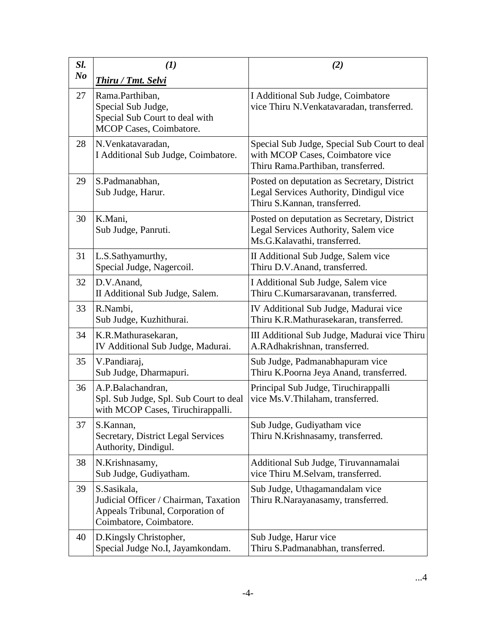| Sl.<br>N <sub>o</sub> | (I)                                                                                                                      | (2)                                                                                                                    |
|-----------------------|--------------------------------------------------------------------------------------------------------------------------|------------------------------------------------------------------------------------------------------------------------|
| 27                    | Thiru / Tmt. Selvi<br>Rama.Parthiban,<br>Special Sub Judge,<br>Special Sub Court to deal with<br>MCOP Cases, Coimbatore. | I Additional Sub Judge, Coimbatore<br>vice Thiru N.Venkatavaradan, transferred.                                        |
| 28                    | N. Venkatavaradan,<br>I Additional Sub Judge, Coimbatore.                                                                | Special Sub Judge, Special Sub Court to deal<br>with MCOP Cases, Coimbatore vice<br>Thiru Rama.Parthiban, transferred. |
| 29                    | S.Padmanabhan,<br>Sub Judge, Harur.                                                                                      | Posted on deputation as Secretary, District<br>Legal Services Authority, Dindigul vice<br>Thiru S.Kannan, transferred. |
| 30                    | K.Mani,<br>Sub Judge, Panruti.                                                                                           | Posted on deputation as Secretary, District<br>Legal Services Authority, Salem vice<br>Ms.G.Kalavathi, transferred.    |
| 31                    | L.S.Sathyamurthy,<br>Special Judge, Nagercoil.                                                                           | II Additional Sub Judge, Salem vice<br>Thiru D.V.Anand, transferred.                                                   |
| 32                    | D.V.Anand,<br>II Additional Sub Judge, Salem.                                                                            | I Additional Sub Judge, Salem vice<br>Thiru C.Kumarsaravanan, transferred.                                             |
| 33                    | R.Nambi,<br>Sub Judge, Kuzhithurai.                                                                                      | IV Additional Sub Judge, Madurai vice<br>Thiru K.R.Mathurasekaran, transferred.                                        |
| 34                    | K.R.Mathurasekaran,<br>IV Additional Sub Judge, Madurai.                                                                 | III Additional Sub Judge, Madurai vice Thiru<br>A.RAdhakrishnan, transferred.                                          |
| 35                    | V.Pandiaraj,<br>Sub Judge, Dharmapuri.                                                                                   | Sub Judge, Padmanabhapuram vice<br>Thiru K.Poorna Jeya Anand, transferred.                                             |
| 36                    | A.P.Balachandran,<br>Spl. Sub Judge, Spl. Sub Court to deal<br>with MCOP Cases, Tiruchirappalli.                         | Principal Sub Judge, Tiruchirappalli<br>vice Ms.V.Thilaham, transferred.                                               |
| 37                    | S.Kannan,<br>Secretary, District Legal Services<br>Authority, Dindigul.                                                  | Sub Judge, Gudiyatham vice<br>Thiru N.Krishnasamy, transferred.                                                        |
| 38                    | N.Krishnasamy,<br>Sub Judge, Gudiyatham.                                                                                 | Additional Sub Judge, Tiruvannamalai<br>vice Thiru M.Selvam, transferred.                                              |
| 39                    | S.Sasikala,<br>Judicial Officer / Chairman, Taxation<br>Appeals Tribunal, Corporation of<br>Coimbatore, Coimbatore.      | Sub Judge, Uthagamandalam vice<br>Thiru R.Narayanasamy, transferred.                                                   |
| 40                    | D.Kingsly Christopher,<br>Special Judge No.I, Jayamkondam.                                                               | Sub Judge, Harur vice<br>Thiru S.Padmanabhan, transferred.                                                             |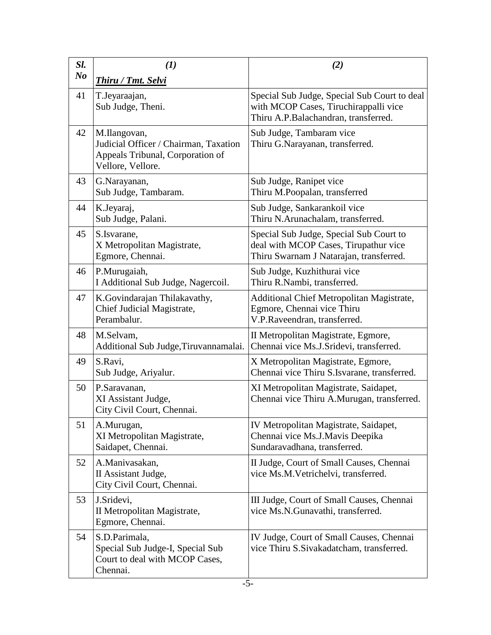| Sl.<br>N <sub>o</sub> | (1)                                                                                                            | (2)                                                                                                                           |
|-----------------------|----------------------------------------------------------------------------------------------------------------|-------------------------------------------------------------------------------------------------------------------------------|
| 41                    | <b>Thiru / Tmt. Selvi</b><br>T.Jeyaraajan,<br>Sub Judge, Theni.                                                | Special Sub Judge, Special Sub Court to deal<br>with MCOP Cases, Tiruchirappalli vice<br>Thiru A.P.Balachandran, transferred. |
| 42                    | M.Ilangovan,<br>Judicial Officer / Chairman, Taxation<br>Appeals Tribunal, Corporation of<br>Vellore, Vellore. | Sub Judge, Tambaram vice<br>Thiru G.Narayanan, transferred.                                                                   |
| 43                    | G.Narayanan,<br>Sub Judge, Tambaram.                                                                           | Sub Judge, Ranipet vice<br>Thiru M.Poopalan, transferred                                                                      |
| 44                    | K.Jeyaraj,<br>Sub Judge, Palani.                                                                               | Sub Judge, Sankarankoil vice<br>Thiru N.Arunachalam, transferred.                                                             |
| 45                    | S.Isvarane,<br>X Metropolitan Magistrate,<br>Egmore, Chennai.                                                  | Special Sub Judge, Special Sub Court to<br>deal with MCOP Cases, Tirupathur vice<br>Thiru Swarnam J Natarajan, transferred.   |
| 46                    | P.Murugaiah,<br>I Additional Sub Judge, Nagercoil.                                                             | Sub Judge, Kuzhithurai vice<br>Thiru R.Nambi, transferred.                                                                    |
| 47                    | K.Govindarajan Thilakavathy,<br>Chief Judicial Magistrate,<br>Perambalur.                                      | Additional Chief Metropolitan Magistrate,<br>Egmore, Chennai vice Thiru<br>V.P.Raveendran, transferred.                       |
| 48                    | M.Selvam,<br>Additional Sub Judge, Tiruvannamalai.                                                             | II Metropolitan Magistrate, Egmore,<br>Chennai vice Ms.J.Sridevi, transferred.                                                |
| 49                    | S.Ravi,<br>Sub Judge, Ariyalur.                                                                                | X Metropolitan Magistrate, Egmore,<br>Chennai vice Thiru S.Isvarane, transferred.                                             |
| 50                    | P.Saravanan,<br>XI Assistant Judge,<br>City Civil Court, Chennai.                                              | XI Metropolitan Magistrate, Saidapet,<br>Chennai vice Thiru A.Murugan, transferred.                                           |
| 51                    | A.Murugan,<br>XI Metropolitan Magistrate,<br>Saidapet, Chennai.                                                | IV Metropolitan Magistrate, Saidapet,<br>Chennai vice Ms.J.Mavis Deepika<br>Sundaravadhana, transferred.                      |
| 52                    | A.Manivasakan,<br>II Assistant Judge,<br>City Civil Court, Chennai.                                            | II Judge, Court of Small Causes, Chennai<br>vice Ms.M.Vetrichelvi, transferred.                                               |
| 53                    | J.Sridevi,<br>II Metropolitan Magistrate,<br>Egmore, Chennai.                                                  | III Judge, Court of Small Causes, Chennai<br>vice Ms.N.Gunavathi, transferred.                                                |
| 54                    | S.D.Parimala,<br>Special Sub Judge-I, Special Sub<br>Court to deal with MCOP Cases,<br>Chennai.                | IV Judge, Court of Small Causes, Chennai<br>vice Thiru S.Sivakadatcham, transferred.                                          |